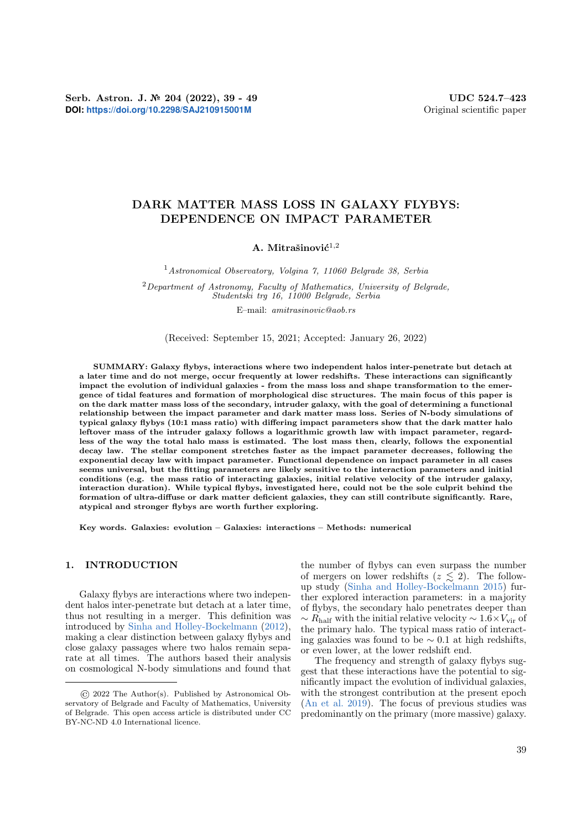# DARK MATTER MASS LOSS IN GALAXY FLYBYS: DEPENDENCE ON IMPACT PARAMETER

## A. Mitrašinović $^{1,2}$

<sup>1</sup>Astronomical Observatory, Volgina 7, 11060 Belgrade 38, Serbia

 $2$ Department of Astronomy, Faculty of Mathematics, University of Belgrade, Studentski trg 16, 11000 Belgrade, Serbia

E–mail: amitrasinovic@aob.rs

(Received: September 15, 2021; Accepted: January 26, 2022)

SUMMARY: Galaxy flybys, interactions where two independent halos inter-penetrate but detach at a later time and do not merge, occur frequently at lower redshifts. These interactions can significantly impact the evolution of individual galaxies - from the mass loss and shape transformation to the emergence of tidal features and formation of morphological disc structures. The main focus of this paper is on the dark matter mass loss of the secondary, intruder galaxy, with the goal of determining a functional relationship between the impact parameter and dark matter mass loss. Series of N-body simulations of typical galaxy flybys (10:1 mass ratio) with differing impact parameters show that the dark matter halo leftover mass of the intruder galaxy follows a logarithmic growth law with impact parameter, regardless of the way the total halo mass is estimated. The lost mass then, clearly, follows the exponential decay law. The stellar component stretches faster as the impact parameter decreases, following the exponential decay law with impact parameter. Functional dependence on impact parameter in all cases seems universal, but the fitting parameters are likely sensitive to the interaction parameters and initial conditions (e.g. the mass ratio of interacting galaxies, initial relative velocity of the intruder galaxy, interaction duration). While typical flybys, investigated here, could not be the sole culprit behind the formation of ultra-diffuse or dark matter deficient galaxies, they can still contribute significantly. Rare, atypical and stronger flybys are worth further exploring.

Key words. Galaxies: evolution – Galaxies: interactions – Methods: numerical

## 1. INTRODUCTION

Galaxy flybys are interactions where two independent halos inter-penetrate but detach at a later time, thus not resulting in a merger. This definition was introduced by [Sinha and Holley-Bockelmann](#page-9-0) [\(2012\)](#page-9-0), making a clear distinction between galaxy flybys and close galaxy passages where two halos remain separate at all times. The authors based their analysis on cosmological N-body simulations and found that the number of flybys can even surpass the number of mergers on lower redshifts  $(z \leq 2)$ . The followup study [\(Sinha and Holley-Bockelmann](#page-9-1) [2015\)](#page-9-1) further explored interaction parameters: in a majority of flybys, the secondary halo penetrates deeper than  $\sim R_{\text{half}}$  with the initial relative velocity  $\sim 1.6 \times V_{\text{vir}}$  of the primary halo. The typical mass ratio of interacting galaxies was found to be ∼ 0.1 at high redshifts, or even lower, at the lower redshift end.

The frequency and strength of galaxy flybys suggest that these interactions have the potential to significantly impact the evolution of individual galaxies, with the strongest contribution at the present epoch [\(An et al.](#page-8-0) [2019\)](#page-8-0). The focus of previous studies was predominantly on the primary (more massive) galaxy.

<sup>©</sup> 2022 The Author(s). Published by Astronomical Observatory of Belgrade and Faculty of Mathematics, University of Belgrade. This open access article is distributed under CC BY-NC-ND 4.0 International licence.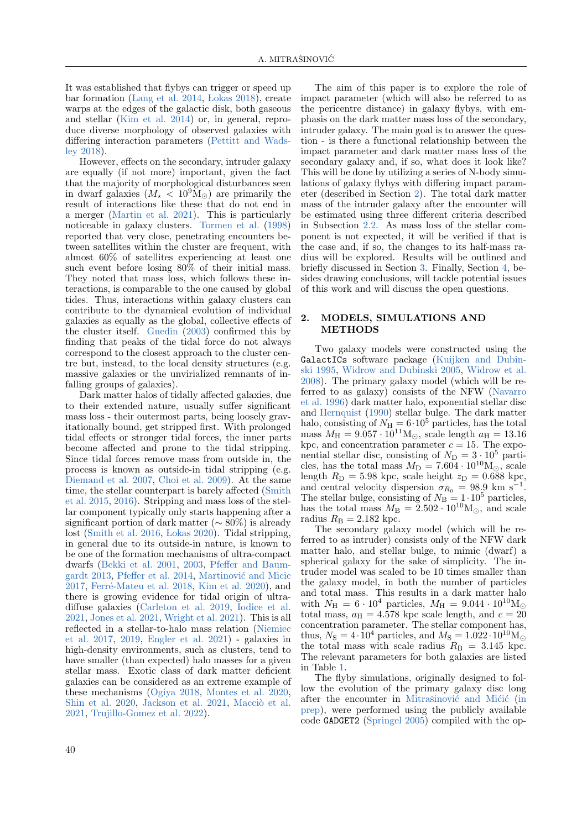It was established that flybys can trigger or speed up bar formation [\(Lang et al.](#page-9-2) [2014,](#page-9-2) [Lokas](#page-9-3) [2018\)](#page-9-3), create warps at the edges of the galactic disk, both gaseous and stellar [\(Kim et al.](#page-8-1) [2014\)](#page-8-1) or, in general, reproduce diverse morphology of observed galaxies with differing interaction parameters [\(Pettitt and Wads](#page-9-4)[ley](#page-9-4) [2018\)](#page-9-4).

However, effects on the secondary, intruder galaxy are equally (if not more) important, given the fact that the majority of morphological disturbances seen in dwarf galaxies  $(M_{\star} < 10^{9} M_{\odot})$  are primarily the result of interactions like these that do not end in a merger [\(Martin et al.](#page-9-5) [2021\)](#page-9-5). This is particularly noticeable in galaxy clusters. [Tormen et al.](#page-9-6) [\(1998\)](#page-9-6) reported that very close, penetrating encounters between satellites within the cluster are frequent, with almost 60% of satellites experiencing at least one such event before losing 80% of their initial mass. They noted that mass loss, which follows these interactions, is comparable to the one caused by global tides. Thus, interactions within galaxy clusters can contribute to the dynamical evolution of individual galaxies as equally as the global, collective effects of the cluster itself. [Gnedin](#page-8-2) [\(2003\)](#page-8-2) confirmed this by finding that peaks of the tidal force do not always correspond to the closest approach to the cluster centre but, instead, to the local density structures (e.g. massive galaxies or the unvirialized remnants of infalling groups of galaxies).

Dark matter halos of tidally affected galaxies, due to their extended nature, usually suffer significant mass loss - their outermost parts, being loosely gravitationally bound, get stripped first. With prolonged tidal effects or stronger tidal forces, the inner parts become affected and prone to the tidal stripping. Since tidal forces remove mass from outside in, the process is known as outside-in tidal stripping (e.g. [Diemand et al.](#page-8-3) [2007,](#page-8-3) [Choi et al.](#page-8-4) [2009\)](#page-8-4). At the same time, the stellar counterpart is barely affected [\(Smith](#page-9-7) [et al.](#page-9-7) [2015,](#page-9-7) [2016\)](#page-9-8). Stripping and mass loss of the stellar component typically only starts happening after a significant portion of dark matter ( $\sim 80\%$ ) is already lost [\(Smith et al.](#page-9-8) [2016,](#page-9-8) [Lokas](#page-9-9) [2020\)](#page-9-9). Tidal stripping, in general due to its outside-in nature, is known to be one of the formation mechanisms of ultra-compact dwarfs [\(Bekki et al.](#page-8-5) [2001,](#page-8-5) [2003,](#page-8-6) [Pfeffer and Baum](#page-9-10)[gardt](#page-9-10) [2013,](#page-9-10) [Pfeffer et al.](#page-9-11) [2014,](#page-9-11) Martinović and Micic [2017,](#page-9-12) Ferré-Mateu et al. [2018,](#page-8-7) [Kim et al.](#page-9-13) [2020\)](#page-9-13), and there is growing evidence for tidal origin of ultradiffuse galaxies [\(Carleton et al.](#page-8-8) [2019,](#page-8-8) [Iodice et al.](#page-8-9) [2021,](#page-8-9) [Jones et al.](#page-8-10) [2021,](#page-8-10) [Wright et al.](#page-9-14) [2021\)](#page-9-14). This is all reflected in a stellar-to-halo mass relation [\(Niemiec](#page-9-15) [et al.](#page-9-15) [2017,](#page-9-15) [2019,](#page-9-16) [Engler et al.](#page-8-11) [2021\)](#page-8-11) - galaxies in high-density environments, such as clusters, tend to have smaller (than expected) halo masses for a given stellar mass. Exotic class of dark matter deficient galaxies can be considered as an extreme example of these mechanisms [\(Ogiya](#page-9-17) [2018,](#page-9-17) [Montes et al.](#page-9-18) [2020,](#page-9-18) [Shin et al.](#page-9-19) [2020,](#page-9-19) [Jackson et al.](#page-8-12) [2021,](#page-8-12) Macciò et al. [2021,](#page-9-20) [Trujillo-Gomez et al.](#page-9-21) [2022\)](#page-9-21).

The aim of this paper is to explore the role of impact parameter (which will also be referred to as the pericentre distance) in galaxy flybys, with emphasis on the dark matter mass loss of the secondary, intruder galaxy. The main goal is to answer the question - is there a functional relationship between the impact parameter and dark matter mass loss of the secondary galaxy and, if so, what does it look like? This will be done by utilizing a series of N-body simulations of galaxy flybys with differing impact parameter (described in Section [2\)](#page-1-0). The total dark matter mass of the intruder galaxy after the encounter will be estimated using three different criteria described in Subsection [2.2.](#page-3-0) As mass loss of the stellar component is not expected, it will be verified if that is the case and, if so, the changes to its half-mass radius will be explored. Results will be outlined and briefly discussed in Section [3.](#page-3-1) Finally, Section [4,](#page-7-0) besides drawing conclusions, will tackle potential issues of this work and will discuss the open questions.

## <span id="page-1-0"></span>2. MODELS, SIMULATIONS AND METHODS

Two galaxy models were constructed using the GalactICs software package [\(Kuijken and Dubin](#page-9-22)[ski](#page-9-22) [1995,](#page-9-22) [Widrow and Dubinski](#page-9-23) [2005,](#page-9-23) [Widrow et al.](#page-9-24) [2008\)](#page-9-24). The primary galaxy model (which will be referred to as galaxy) consists of the NFW [\(Navarro](#page-9-25) [et al.](#page-9-25) [1996\)](#page-9-25) dark matter halo, exponential stellar disc and [Hernquist](#page-8-13) [\(1990\)](#page-8-13) stellar bulge. The dark matter halo, consisting of  $N_{\rm H} = 6 \cdot 10^5$  particles, has the total mass  $M_{\rm H} = 9.057 \cdot 10^{11} \text{M}_{\odot}$ , scale length  $a_{\rm H} = 13.16$ kpc, and concentration parameter  $c = 15$ . The exponential stellar disc, consisting of  $N_{\rm D} = 3 \cdot 10^5$  particles, has the total mass  $M_{\rm D} = 7.604 \cdot 10^{10} \text{M}_{\odot}$ , scale length  $R_D = 5.98$  kpc, scale height  $z_D = 0.688$  kpc, and central velocity dispersion  $\sigma_{R_0} = 98.9$  km s<sup>−1</sup> . The stellar bulge, consisting of  $N_B = 1 \cdot 10^5$  particles, has the total mass  $M_{\rm B} = 2.502 \cdot 10^{10} \rm M_{\odot}$ , and scale radius  $R_{\rm B} = 2.182$  kpc.

The secondary galaxy model (which will be referred to as intruder) consists only of the NFW dark matter halo, and stellar bulge, to mimic (dwarf) a spherical galaxy for the sake of simplicity. The intruder model was scaled to be 10 times smaller than the galaxy model, in both the number of particles and total mass. This results in a dark matter halo with  $N_{\rm H} = 6 \cdot 10^4$  particles,  $M_{\rm H} = 9.044 \cdot 10^{10} \rm M_{\odot}$ total mass,  $a_H = 4.578$  kpc scale length, and  $c = 20$ concentration parameter. The stellar component has, thus,  $N_{\rm S} = 4 \cdot 10^4$  particles, and  $M_{\rm S} = 1.022 \cdot 10^{10} \text{M}_{\odot}$ the total mass with scale radius  $R_{\rm B} = 3.145$  kpc. The relevant parameters for both galaxies are listed in Table [1.](#page-2-0)

The flyby simulations, originally designed to follow the evolution of the primary galaxy disc long after the encounter in Mitrašinovic and Micic [\(in](#page-9-26) [prep\)](#page-9-26), were performed using the publicly available code GADGET2 [\(Springel](#page-9-27) [2005\)](#page-9-27) compiled with the op-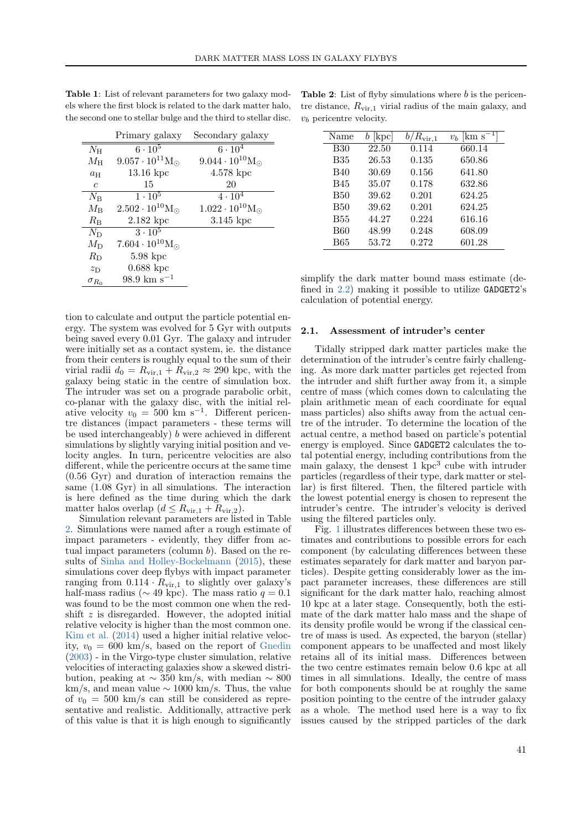|                | Primary galaxy                  | Secondary galaxy                |
|----------------|---------------------------------|---------------------------------|
| $N_{\rm H}$    | $6 \cdot 10^5$                  | $6 \cdot 10^{4}$                |
| $M_{\rm H}$    | $9.057 \cdot 10^{11} M_{\odot}$ | $9.044 \cdot 10^{10} M_{\odot}$ |
| $a_{\rm H}$    | $13.16\ \mathrm{kpc}$           | $4.578~{\rm kpc}$               |
| $\mathfrak c$  | 15                              | 20                              |
| $N_{\rm B}$    | $1 \cdot 10^5$                  | $4\cdot10^4$                    |
| $M_{\rm B}$    | $2.502 \cdot 10^{10} M_{\odot}$ | $1.022 \cdot 10^{10} M_{\odot}$ |
| $R_{\rm B}$    | $2.182~\rm kpc$                 | $3.145~{\rm kpc}$               |
| $N_{\rm D}$    | $3 \cdot 10^5$                  |                                 |
| $M_{\rm{D}}$   | $7.604 \cdot 10^{10} M_{\odot}$ |                                 |
| $R_{\rm D}$    | $5.98 \text{ kpc}$              |                                 |
| $z_{\rm D}$    | $0.688$ kpc                     |                                 |
| $\sigma_{R_0}$ | $98.9 \text{ km s}^{-1}$        |                                 |

<span id="page-2-0"></span>Table 1: List of relevant parameters for two galaxy models where the first block is related to the dark matter halo, the second one to stellar bulge and the third to stellar disc.

tion to calculate and output the particle potential energy. The system was evolved for 5 Gyr with outputs being saved every 0.01 Gyr. The galaxy and intruder were initially set as a contact system, ie. the distance from their centers is roughly equal to the sum of their virial radii  $d_0 = R_{\rm vir,1} + R_{\rm vir,2} \approx 290$  kpc, with the galaxy being static in the centre of simulation box. The intruder was set on a prograde parabolic orbit, co-planar with the galaxy disc, with the initial relative velocity  $v_0 = 500 \text{ km s}^{-1}$ . Different pericentre distances (impact parameters - these terms will be used interchangeably) b were achieved in different simulations by slightly varying initial position and velocity angles. In turn, pericentre velocities are also different, while the pericentre occurs at the same time (0.56 Gyr) and duration of interaction remains the same (1.08 Gyr) in all simulations. The interaction is here defined as the time during which the dark matter halos overlap  $(d \leq R_{\rm vir,1} + R_{\rm vir,2}).$ 

Simulation relevant parameters are listed in Table [2.](#page-2-1) Simulations were named after a rough estimate of impact parameters - evidently, they differ from actual impact parameters (column  $b$ ). Based on the results of [Sinha and Holley-Bockelmann](#page-9-1) [\(2015\)](#page-9-1), these simulations cover deep flybys with impact parameter ranging from  $0.114 \cdot R_{\text{vir},1}$  to slightly over galaxy's half-mass radius ( $\sim$  49 kpc). The mass ratio  $q = 0.1$ was found to be the most common one when the redshift z is disregarded. However, the adopted initial relative velocity is higher than the most common one. [Kim et al.](#page-8-1) [\(2014\)](#page-8-1) used a higher initial relative velocity,  $v_0 = 600 \text{ km/s}$ , based on the report of [Gnedin](#page-8-2) [\(2003\)](#page-8-2) - in the Virgo-type cluster simulation, relative velocities of interacting galaxies show a skewed distribution, peaking at  $\sim$  350 km/s, with median  $\sim$  800 km/s, and mean value  $\sim 1000$  km/s. Thus, the value of  $v_0 = 500$  km/s can still be considered as representative and realistic. Additionally, attractive perk of this value is that it is high enough to significantly

<span id="page-2-1"></span>**Table 2:** List of flyby simulations where  $b$  is the pericentre distance,  $R_{\text{vir,1}}$  virial radius of the main galaxy, and  $v_b$  pericentre velocity.

| Name       | $[\mathrm{kpc}]$ | $R_{\rm vir,1}$ | km s<br>v <sub>b</sub> |
|------------|------------------|-----------------|------------------------|
| <b>B30</b> | 22.50            | 0.114           | 660.14                 |
| <b>B35</b> | 26.53            | 0.135           | 650.86                 |
| <b>B40</b> | 30.69            | 0.156           | 641.80                 |
| <b>B45</b> | 35.07            | 0.178           | 632.86                 |
| <b>B50</b> | 39.62            | 0.201           | 624.25                 |
| <b>B50</b> | 39.62            | 0.201           | 624.25                 |
| <b>B55</b> | 44.27            | 0.224           | 616.16                 |
| <b>B60</b> | 48.99            | 0.248           | 608.09                 |
| <b>B65</b> | 53.72            | 0.272           | 601.28                 |

simplify the dark matter bound mass estimate (defined in [2.2\)](#page-3-0) making it possible to utilize GADGET2's calculation of potential energy.

#### 2.1. Assessment of intruder's center

Tidally stripped dark matter particles make the determination of the intruder's centre fairly challenging. As more dark matter particles get rejected from the intruder and shift further away from it, a simple centre of mass (which comes down to calculating the plain arithmetic mean of each coordinate for equal mass particles) also shifts away from the actual centre of the intruder. To determine the location of the actual centre, a method based on particle's potential energy is employed. Since GADGET2 calculates the total potential energy, including contributions from the main galaxy, the densest  $1 \text{ kpc}^3$  cube with intruder particles (regardless of their type, dark matter or stellar) is first filtered. Then, the filtered particle with the lowest potential energy is chosen to represent the intruder's centre. The intruder's velocity is derived using the filtered particles only.

Fig. [1](#page-3-2) illustrates differences between these two estimates and contributions to possible errors for each component (by calculating differences between these estimates separately for dark matter and baryon particles). Despite getting considerably lower as the impact parameter increases, these differences are still significant for the dark matter halo, reaching almost 10 kpc at a later stage. Consequently, both the estimate of the dark matter halo mass and the shape of its density profile would be wrong if the classical centre of mass is used. As expected, the baryon (stellar) component appears to be unaffected and most likely retains all of its initial mass. Differences between the two centre estimates remain below 0.6 kpc at all times in all simulations. Ideally, the centre of mass for both components should be at roughly the same position pointing to the centre of the intruder galaxy as a whole. The method used here is a way to fix issues caused by the stripped particles of the dark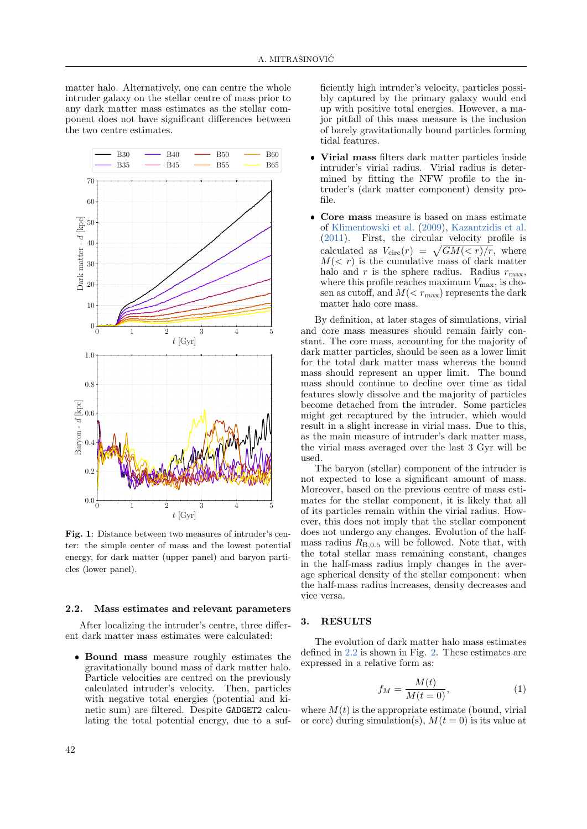matter halo. Alternatively, one can centre the whole intruder galaxy on the stellar centre of mass prior to any dark matter mass estimates as the stellar component does not have significant differences between the two centre estimates.



<span id="page-3-2"></span>Fig. 1: Distance between two measures of intruder's center: the simple center of mass and the lowest potential energy, for dark matter (upper panel) and baryon particles (lower panel).

#### <span id="page-3-0"></span>2.2. Mass estimates and relevant parameters

After localizing the intruder's centre, three different dark matter mass estimates were calculated:

 Bound mass measure roughly estimates the gravitationally bound mass of dark matter halo. Particle velocities are centred on the previously calculated intruder's velocity. Then, particles with negative total energies (potential and kinetic sum) are filtered. Despite GADGET2 calculating the total potential energy, due to a suf-

ficiently high intruder's velocity, particles possibly captured by the primary galaxy would end up with positive total energies. However, a major pitfall of this mass measure is the inclusion of barely gravitationally bound particles forming tidal features.

- Virial mass filters dark matter particles inside intruder's virial radius. Virial radius is determined by fitting the NFW profile to the intruder's (dark matter component) density profile.
- $\bullet$  Core mass measure is based on mass estimate of [Klimentowski et al.](#page-9-28) [\(2009\)](#page-9-28), [Kazantzidis et al.](#page-8-14) [\(2011\)](#page-8-14). First, the circular velocity profile is calculated as  $V_{\text{circ}}(r) = \sqrt{GM(< r)/r}$ , where  $M(< r)$  is the cumulative mass of dark matter halo and r is the sphere radius. Radius  $r_{\text{max}}$ , where this profile reaches maximum  $V_{\text{max}}$ , is chosen as cutoff, and  $M(< r<sub>max</sub>)$  represents the dark matter halo core mass.

By definition, at later stages of simulations, virial and core mass measures should remain fairly constant. The core mass, accounting for the majority of dark matter particles, should be seen as a lower limit for the total dark matter mass whereas the bound mass should represent an upper limit. The bound mass should continue to decline over time as tidal features slowly dissolve and the majority of particles become detached from the intruder. Some particles might get recaptured by the intruder, which would result in a slight increase in virial mass. Due to this, as the main measure of intruder's dark matter mass, the virial mass averaged over the last 3 Gyr will be used.

The baryon (stellar) component of the intruder is not expected to lose a significant amount of mass. Moreover, based on the previous centre of mass estimates for the stellar component, it is likely that all of its particles remain within the virial radius. However, this does not imply that the stellar component does not undergo any changes. Evolution of the halfmass radius  $R_{\text{B},0.5}$  will be followed. Note that, with the total stellar mass remaining constant, changes in the half-mass radius imply changes in the average spherical density of the stellar component: when the half-mass radius increases, density decreases and vice versa.

## <span id="page-3-1"></span>3. RESULTS

The evolution of dark matter halo mass estimates defined in [2.2](#page-3-0) is shown in Fig. [2.](#page-5-0) These estimates are expressed in a relative form as:

$$
f_M = \frac{M(t)}{M(t=0)},\tag{1}
$$

where  $M(t)$  is the appropriate estimate (bound, virial or core) during simulation(s),  $M(t = 0)$  is its value at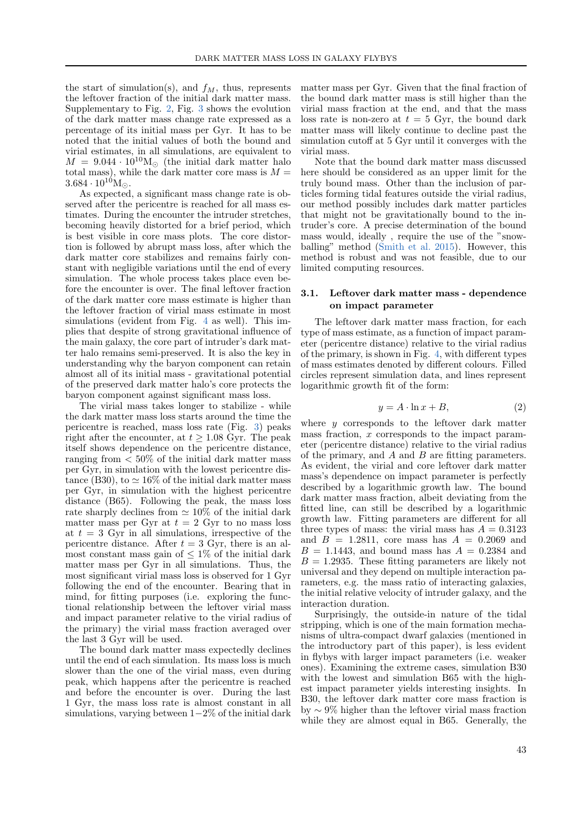the start of simulation(s), and  $f_M$ , thus, represents the leftover fraction of the initial dark matter mass. Supplementary to Fig. [2,](#page-5-0) Fig. [3](#page-5-1) shows the evolution of the dark matter mass change rate expressed as a percentage of its initial mass per Gyr. It has to be noted that the initial values of both the bound and virial estimates, in all simulations, are equivalent to  $M = 9.044 \cdot 10^{10} M_{\odot}$  (the initial dark matter halo total mass), while the dark matter core mass is  $M =$  $3.684 \cdot 10^{10} M_{\odot}$ .

As expected, a significant mass change rate is observed after the pericentre is reached for all mass estimates. During the encounter the intruder stretches, becoming heavily distorted for a brief period, which is best visible in core mass plots. The core distortion is followed by abrupt mass loss, after which the dark matter core stabilizes and remains fairly constant with negligible variations until the end of every simulation. The whole process takes place even before the encounter is over. The final leftover fraction of the dark matter core mass estimate is higher than the leftover fraction of virial mass estimate in most simulations (evident from Fig. [4](#page-6-0) as well). This implies that despite of strong gravitational influence of the main galaxy, the core part of intruder's dark matter halo remains semi-preserved. It is also the key in understanding why the baryon component can retain almost all of its initial mass - gravitational potential of the preserved dark matter halo's core protects the baryon component against significant mass loss.

The virial mass takes longer to stabilize - while the dark matter mass loss starts around the time the pericentre is reached, mass loss rate (Fig. [3\)](#page-5-1) peaks right after the encounter, at  $t \geq 1.08$  Gyr. The peak itself shows dependence on the pericentre distance, ranging from  $\langle 50\%$  of the initial dark matter mass per Gyr, in simulation with the lowest pericentre distance (B30), to  $\simeq 16\%$  of the initial dark matter mass per Gyr, in simulation with the highest pericentre distance (B65). Following the peak, the mass loss rate sharply declines from  $\simeq 10\%$  of the initial dark matter mass per Gyr at  $t = 2$  Gyr to no mass loss at  $t = 3$  Gyr in all simulations, irrespective of the pericentre distance. After  $t = 3$  Gyr, there is an almost constant mass gain of  $\leq 1\%$  of the initial dark matter mass per Gyr in all simulations. Thus, the most significant virial mass loss is observed for 1 Gyr following the end of the encounter. Bearing that in mind, for fitting purposes (i.e. exploring the functional relationship between the leftover virial mass and impact parameter relative to the virial radius of the primary) the virial mass fraction averaged over the last 3 Gyr will be used.

The bound dark matter mass expectedly declines until the end of each simulation. Its mass loss is much slower than the one of the virial mass, even during peak, which happens after the pericentre is reached and before the encounter is over. During the last 1 Gyr, the mass loss rate is almost constant in all simulations, varying between 1−2% of the initial dark matter mass per Gyr. Given that the final fraction of the bound dark matter mass is still higher than the virial mass fraction at the end, and that the mass loss rate is non-zero at  $t = 5$  Gyr, the bound dark matter mass will likely continue to decline past the simulation cutoff at 5 Gyr until it converges with the virial mass.

Note that the bound dark matter mass discussed here should be considered as an upper limit for the truly bound mass. Other than the inclusion of particles forming tidal features outside the virial radius, our method possibly includes dark matter particles that might not be gravitationally bound to the intruder's core. A precise determination of the bound mass would, ideally , require the use of the "snowballing" method [\(Smith et al.](#page-9-7) [2015\)](#page-9-7). However, this method is robust and was not feasible, due to our limited computing resources.

#### 3.1. Leftover dark matter mass - dependence on impact parameter

The leftover dark matter mass fraction, for each type of mass estimate, as a function of impact parameter (pericentre distance) relative to the virial radius of the primary, is shown in Fig. [4,](#page-6-0) with different types of mass estimates denoted by different colours. Filled circles represent simulation data, and lines represent logarithmic growth fit of the form:

$$
y = A \cdot \ln x + B,\tag{2}
$$

where  $y$  corresponds to the leftover dark matter mass fraction, x corresponds to the impact parameter (pericentre distance) relative to the virial radius of the primary, and  $A$  and  $B$  are fitting parameters. As evident, the virial and core leftover dark matter mass's dependence on impact parameter is perfectly described by a logarithmic growth law. The bound dark matter mass fraction, albeit deviating from the fitted line, can still be described by a logarithmic growth law. Fitting parameters are different for all three types of mass: the virial mass has  $A = 0.3123$ and  $B = 1.2811$ , core mass has  $A = 0.2069$  and  $B = 1.1443$ , and bound mass has  $A = 0.2384$  and  $B = 1.2935$ . These fitting parameters are likely not universal and they depend on multiple interaction parameters, e.g. the mass ratio of interacting galaxies, the initial relative velocity of intruder galaxy, and the interaction duration.

Surprisingly, the outside-in nature of the tidal stripping, which is one of the main formation mechanisms of ultra-compact dwarf galaxies (mentioned in the introductory part of this paper), is less evident in flybys with larger impact parameters (i.e. weaker ones). Examining the extreme cases, simulation B30 with the lowest and simulation B65 with the highest impact parameter yields interesting insights. In B30, the leftover dark matter core mass fraction is by ∼ 9% higher than the leftover virial mass fraction while they are almost equal in B65. Generally, the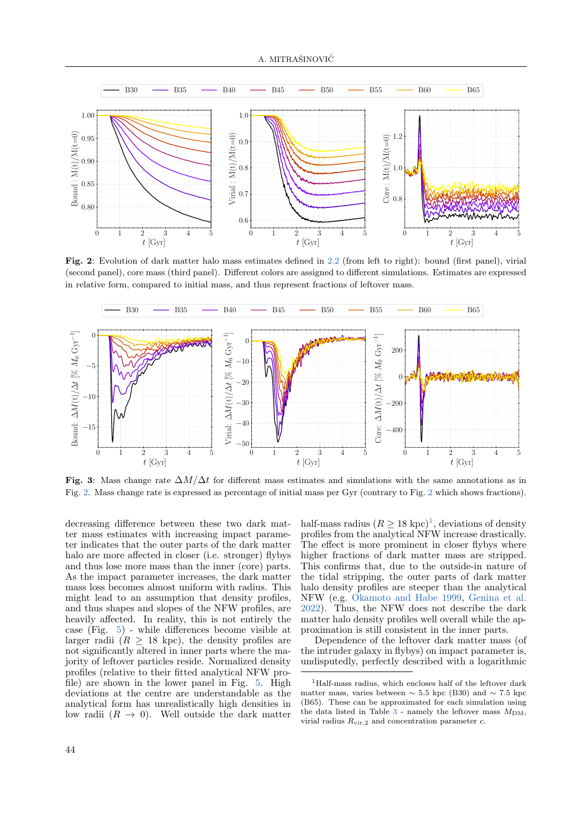

<span id="page-5-0"></span>Fig. 2: Evolution of dark matter halo mass estimates defined in [2.2](#page-3-0) (from left to right): bound (first panel), virial (second panel), core mass (third panel). Different colors are assigned to different simulations. Estimates are expressed in relative form, compared to initial mass, and thus represent fractions of leftover mass.



<span id="page-5-1"></span>Fig. 3: Mass change rate  $\Delta M/\Delta t$  for different mass estimates and simulations with the same annotations as in Fig. [2.](#page-5-0) Mass change rate is expressed as percentage of initial mass per Gyr (contrary to Fig. [2](#page-5-0) which shows fractions).

decreasing difference between these two dark matter mass estimates with increasing impact parameter indicates that the outer parts of the dark matter halo are more affected in closer (i.e. stronger) flybys and thus lose more mass than the inner (core) parts. As the impact parameter increases, the dark matter mass loss becomes almost uniform with radius. This might lead to an assumption that density profiles, and thus shapes and slopes of the NFW profiles, are heavily affected. In reality, this is not entirely the case (Fig. [5\)](#page-6-1) - while differences become visible at larger radii  $(R \geq 18 \text{ kpc})$ , the density profiles are not significantly altered in inner parts where the majority of leftover particles reside. Normalized density profiles (relative to their fitted analytical NFW profile) are shown in the lower panel in Fig. [5.](#page-6-1) High deviations at the centre are understandable as the analytical form has unrealistically high densities in low radii  $(R \rightarrow 0)$ . Well outside the dark matter

half-mass radius  $(R \ge 18 \text{ kpc})^1$  $(R \ge 18 \text{ kpc})^1$  $(R \ge 18 \text{ kpc})^1$ , deviations of density profiles from the analytical NFW increase drastically. The effect is more prominent in closer flybys where higher fractions of dark matter mass are stripped. This confirms that, due to the outside-in nature of the tidal stripping, the outer parts of dark matter halo density profiles are steeper than the analytical NFW (e.g. [Okamoto and Habe](#page-9-29) [1999,](#page-9-29) [Genina et al.](#page-8-15) [2022\)](#page-8-15). Thus, the NFW does not describe the dark matter halo density profiles well overall while the approximation is still consistent in the inner parts.

Dependence of the leftover dark matter mass (of the intruder galaxy in flybys) on impact parameter is, undisputedly, perfectly described with a logarithmic

<span id="page-5-2"></span><sup>1</sup>Half-mass radius, which encloses half of the leftover dark matter mass, varies between  $\sim$  5.5 kpc (B30) and  $\sim$  7.5 kpc (B65). These can be approximated for each simulation using the data listed in Table  $3$  - namely the leftover mass  $M_{DM}$ , virial radius  $R_{\text{vir,2}}$  and concentration parameter c.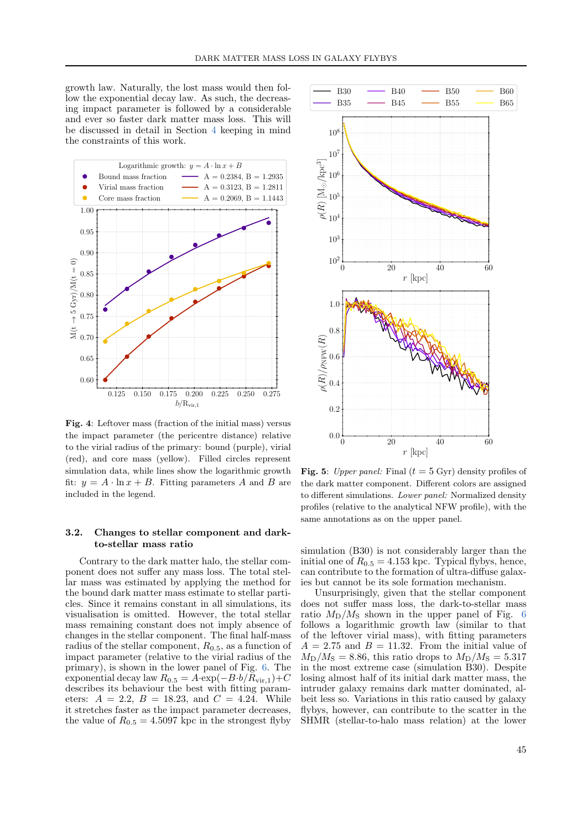growth law. Naturally, the lost mass would then follow the exponential decay law. As such, the decreasing impact parameter is followed by a considerable and ever so faster dark matter mass loss. This will be discussed in detail in Section [4](#page-7-0) keeping in mind the constraints of this work.



<span id="page-6-0"></span>Fig. 4: Leftover mass (fraction of the initial mass) versus the impact parameter (the pericentre distance) relative to the virial radius of the primary: bound (purple), virial (red), and core mass (yellow). Filled circles represent simulation data, while lines show the logarithmic growth fit:  $y = A \cdot \ln x + B$ . Fitting parameters A and B are included in the legend.

## 3.2. Changes to stellar component and darkto-stellar mass ratio

Contrary to the dark matter halo, the stellar component does not suffer any mass loss. The total stellar mass was estimated by applying the method for the bound dark matter mass estimate to stellar particles. Since it remains constant in all simulations, its visualisation is omitted. However, the total stellar mass remaining constant does not imply absence of changes in the stellar component. The final half-mass radius of the stellar component,  $R_{0.5}$ , as a function of impact parameter (relative to the virial radius of the primary), is shown in the lower panel of Fig. [6.](#page-7-1) The exponential decay law  $R_{0.5} = A \cdot \exp(-B \cdot b / R_{\rm vir,1}) + C$ describes its behaviour the best with fitting parameters:  $A = 2.2$ ,  $B = 18.23$ , and  $C = 4.24$ . While it stretches faster as the impact parameter decreases, the value of  $R_{0.5} = 4.5097$  kpc in the strongest flyby



<span id="page-6-1"></span>Fig. 5: Upper panel: Final ( $t = 5$  Gyr) density profiles of the dark matter component. Different colors are assigned to different simulations. Lower panel: Normalized density profiles (relative to the analytical NFW profile), with the same annotations as on the upper panel.

simulation (B30) is not considerably larger than the initial one of  $R_{0.5} = 4.153$  kpc. Typical flybys, hence, can contribute to the formation of ultra-diffuse galaxies but cannot be its sole formation mechanism.

Unsurprisingly, given that the stellar component does not suffer mass loss, the dark-to-stellar mass ratio  $M_{\rm D}/M_{\rm S}$  shown in the upper panel of Fig. [6](#page-7-1) follows a logarithmic growth law (similar to that of the leftover virial mass), with fitting parameters  $A = 2.75$  and  $B = 11.32$ . From the initial value of  $M_{\rm D}/M_{\rm S} = 8.86$ , this ratio drops to  $M_{\rm D}/M_{\rm S} = 5.317$ in the most extreme case (simulation B30). Despite losing almost half of its initial dark matter mass, the intruder galaxy remains dark matter dominated, albeit less so. Variations in this ratio caused by galaxy flybys, however, can contribute to the scatter in the SHMR (stellar-to-halo mass relation) at the lower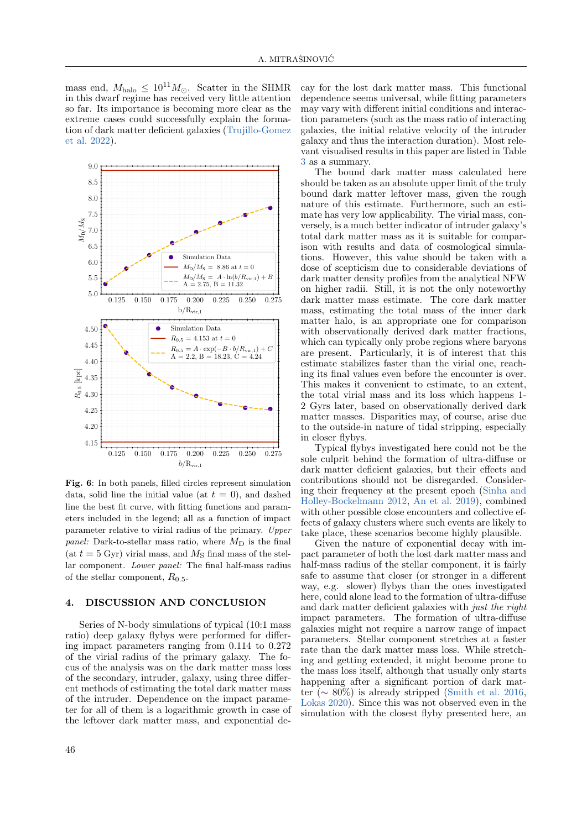mass end,  $M_{\text{halo}} \leq 10^{11} M_{\odot}$ . Scatter in the SHMR in this dwarf regime has received very little attention so far. Its importance is becoming more clear as the extreme cases could successfully explain the formation of dark matter deficient galaxies [\(Trujillo-Gomez](#page-9-21) [et al.](#page-9-21) [2022\)](#page-9-21).



<span id="page-7-1"></span>Fig. 6: In both panels, filled circles represent simulation data, solid line the initial value (at  $t = 0$ ), and dashed line the best fit curve, with fitting functions and parameters included in the legend; all as a function of impact parameter relative to virial radius of the primary. Upper panel: Dark-to-stellar mass ratio, where  $M_D$  is the final (at  $t = 5$  Gyr) virial mass, and  $M<sub>S</sub>$  final mass of the stellar component. Lower panel: The final half-mass radius of the stellar component,  $R_{0.5}$ .

## <span id="page-7-0"></span>4. DISCUSSION AND CONCLUSION

Series of N-body simulations of typical (10:1 mass ratio) deep galaxy flybys were performed for differing impact parameters ranging from 0.114 to 0.272 of the virial radius of the primary galaxy. The focus of the analysis was on the dark matter mass loss of the secondary, intruder, galaxy, using three different methods of estimating the total dark matter mass of the intruder. Dependence on the impact parameter for all of them is a logarithmic growth in case of the leftover dark matter mass, and exponential de-

cay for the lost dark matter mass. This functional dependence seems universal, while fitting parameters may vary with different initial conditions and interaction parameters (such as the mass ratio of interacting galaxies, the initial relative velocity of the intruder galaxy and thus the interaction duration). Most relevant visualised results in this paper are listed in Table [3](#page-8-16) as a summary.

The bound dark matter mass calculated here should be taken as an absolute upper limit of the truly bound dark matter leftover mass, given the rough nature of this estimate. Furthermore, such an estimate has very low applicability. The virial mass, conversely, is a much better indicator of intruder galaxy's total dark matter mass as it is suitable for comparison with results and data of cosmological simulations. However, this value should be taken with a dose of scepticism due to considerable deviations of dark matter density profiles from the analytical NFW on higher radii. Still, it is not the only noteworthy dark matter mass estimate. The core dark matter mass, estimating the total mass of the inner dark matter halo, is an appropriate one for comparison with observationally derived dark matter fractions. which can typically only probe regions where baryons are present. Particularly, it is of interest that this estimate stabilizes faster than the virial one, reaching its final values even before the encounter is over. This makes it convenient to estimate, to an extent, the total virial mass and its loss which happens 1- 2 Gyrs later, based on observationally derived dark matter masses. Disparities may, of course, arise due to the outside-in nature of tidal stripping, especially in closer flybys.

Typical flybys investigated here could not be the sole culprit behind the formation of ultra-diffuse or dark matter deficient galaxies, but their effects and contributions should not be disregarded. Considering their frequency at the present epoch [\(Sinha and](#page-9-0) [Holley-Bockelmann](#page-9-0) [2012,](#page-9-0) [An et al.](#page-8-0) [2019\)](#page-8-0), combined with other possible close encounters and collective effects of galaxy clusters where such events are likely to take place, these scenarios become highly plausible.

Given the nature of exponential decay with impact parameter of both the lost dark matter mass and half-mass radius of the stellar component, it is fairly safe to assume that closer (or stronger in a different way, e.g. slower) flybys than the ones investigated here, could alone lead to the formation of ultra-diffuse and dark matter deficient galaxies with just the right impact parameters. The formation of ultra-diffuse galaxies might not require a narrow range of impact parameters. Stellar component stretches at a faster rate than the dark matter mass loss. While stretching and getting extended, it might become prone to the mass loss itself, although that usually only starts happening after a significant portion of dark matter ( $\sim 80\%$ ) is already stripped [\(Smith et al.](#page-9-8) [2016,](#page-9-8)  [Lokas](#page-9-9) [2020\)](#page-9-9). Since this was not observed even in the simulation with the closest flyby presented here, an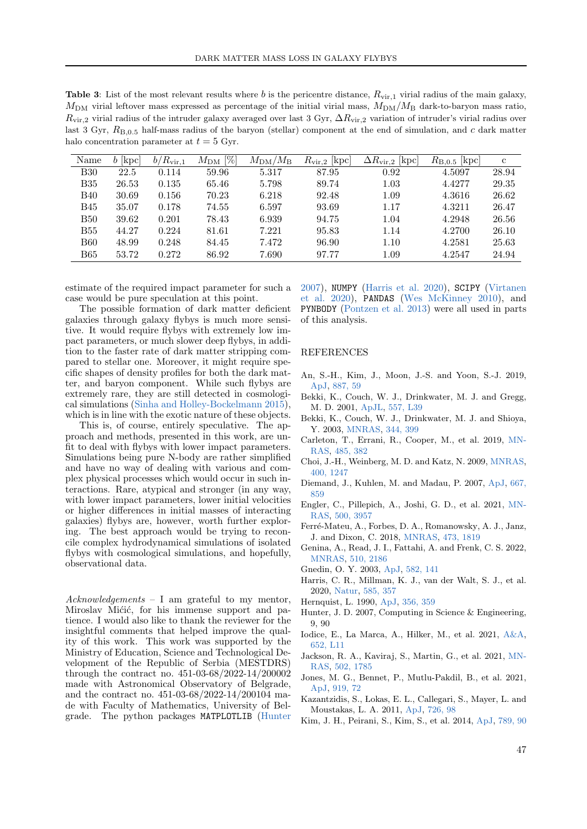<span id="page-8-16"></span>Table 3: List of the most relevant results where b is the pericentre distance,  $R_{\text{vir,1}}$  virial radius of the main galaxy,  $M_{\text{DM}}$  virial leftover mass expressed as percentage of the initial virial mass,  $M_{\text{DM}}/M_{\text{B}}$  dark-to-baryon mass ratio,  $R_{\rm vir,2}$  virial radius of the intruder galaxy averaged over last 3 Gyr,  $\Delta R_{\rm vir,2}$  variation of intruder's virial radius over last 3 Gyr,  $R_{\text{B},0.5}$  half-mass radius of the baryon (stellar) component at the end of simulation, and c dark matter halo concentration parameter at  $t = 5$  Gyr.

| Name       | $[\mathrm{kpc}]$<br>b. | $b/R_{\rm vir,1}$ | $[\%]$<br>$M_{\rm DM}$ | $M_{\rm DM}/M_{\rm B}$ | $R_{\rm vir,2}$ [kpc] | $ {\rm kpc} $<br>$\Delta R_{\rm vir,2}$ | $R_{B,0.5}$ [kpc] | $\mathbf c$ |
|------------|------------------------|-------------------|------------------------|------------------------|-----------------------|-----------------------------------------|-------------------|-------------|
| <b>B30</b> | 22.5                   | 0.114             | 59.96                  | 5.317                  | 87.95                 | 0.92                                    | 4.5097            | 28.94       |
| <b>B35</b> | 26.53                  | 0.135             | 65.46                  | 5.798                  | 89.74                 | 1.03                                    | 4.4277            | 29.35       |
| <b>B40</b> | 30.69                  | 0.156             | 70.23                  | 6.218                  | 92.48                 | 1.09                                    | 4.3616            | 26.62       |
| <b>B45</b> | 35.07                  | 0.178             | 74.55                  | 6.597                  | 93.69                 | 1.17                                    | 4.3211            | 26.47       |
| <b>B50</b> | 39.62                  | 0.201             | 78.43                  | 6.939                  | 94.75                 | 1.04                                    | 4.2948            | 26.56       |
| <b>B55</b> | 44.27                  | 0.224             | 81.61                  | 7.221                  | 95.83                 | 1.14                                    | 4.2700            | 26.10       |
| <b>B60</b> | 48.99                  | 0.248             | 84.45                  | 7.472                  | 96.90                 | 1.10                                    | 4.2581            | 25.63       |
| <b>B65</b> | 53.72                  | 0.272             | 86.92                  | 7.690                  | 97.77                 | $1.09\,$                                | 4.2547            | 24.94       |

estimate of the required impact parameter for such a case would be pure speculation at this point.

The possible formation of dark matter deficient galaxies through galaxy flybys is much more sensitive. It would require flybys with extremely low impact parameters, or much slower deep flybys, in addition to the faster rate of dark matter stripping compared to stellar one. Moreover, it might require specific shapes of density profiles for both the dark matter, and baryon component. While such flybys are extremely rare, they are still detected in cosmological simulations [\(Sinha and Holley-Bockelmann](#page-9-1) [2015\)](#page-9-1), which is in line with the exotic nature of these objects.

This is, of course, entirely speculative. The approach and methods, presented in this work, are unfit to deal with flybys with lower impact parameters. Simulations being pure N-body are rather simplified and have no way of dealing with various and complex physical processes which would occur in such interactions. Rare, atypical and stronger (in any way, with lower impact parameters, lower initial velocities or higher differences in initial masses of interacting galaxies) flybys are, however, worth further exploring. The best approach would be trying to reconcile complex hydrodynamical simulations of isolated flybys with cosmological simulations, and hopefully, observational data.

Acknowledgements – I am grateful to my mentor, Miroslav Mićić, for his immense support and patience. I would also like to thank the reviewer for the insightful comments that helped improve the quality of this work. This work was supported by the Ministry of Education, Science and Technological Development of the Republic of Serbia (MESTDRS) through the contract no. 451-03-68/2022-14/200002 made with Astronomical Observatory of Belgrade, and the contract no. 451-03-68/2022-14/200104 made with Faculty of Mathematics, University of Belgrade. The python packages MATPLOTLIB [\(Hunter](#page-8-17) [2007\)](#page-8-17), NUMPY [\(Harris et al.](#page-8-18) [2020\)](#page-8-18), SCIPY [\(Virtanen](#page-9-30) [et al.](#page-9-30) [2020\)](#page-9-30), PANDAS [\(Wes McKinney](#page-9-31) [2010\)](#page-9-31), and PYNBODY [\(Pontzen et al.](#page-9-32) [2013\)](#page-9-32) were all used in parts of this analysis.

#### REFERENCES

- <span id="page-8-0"></span>An, S.-H., Kim, J., Moon, J.-S. and Yoon, S.-J. 2019, [ApJ,](https://ui.adsabs.harvard.edu/abs/2019ApJ...887...59A) [887, 59](https://ui.adsabs.harvard.edu/abs/2019ApJ...887...59A)
- <span id="page-8-5"></span>Bekki, K., Couch, W. J., Drinkwater, M. J. and Gregg, M. D. 2001, [ApJL,](https://ui.adsabs.harvard.edu/abs/2001ApJ...557L..39B) [557, L39](https://ui.adsabs.harvard.edu/abs/2001ApJ...557L..39B)
- <span id="page-8-6"></span>Bekki, K., Couch, W. J., Drinkwater, M. J. and Shioya, Y. 2003, [MNRAS,](https://ui.adsabs.harvard.edu/abs/2003MNRAS.344..399B) [344, 399](https://ui.adsabs.harvard.edu/abs/2003MNRAS.344..399B)
- <span id="page-8-8"></span>Carleton, T., Errani, R., Cooper, M., et al. 2019, [MN-](https://ui.adsabs.harvard.edu/abs/2019MNRAS.485..382C)[RAS,](https://ui.adsabs.harvard.edu/abs/2019MNRAS.485..382C) [485, 382](https://ui.adsabs.harvard.edu/abs/2019MNRAS.485..382C)
- <span id="page-8-4"></span>Choi, J.-H., Weinberg, M. D. and Katz, N. 2009, [MNRAS,](https://ui.adsabs.harvard.edu/abs/2009MNRAS.400.1247C) [400, 1247](https://ui.adsabs.harvard.edu/abs/2009MNRAS.400.1247C)
- <span id="page-8-3"></span>Diemand, J., Kuhlen, M. and Madau, P. 2007, [ApJ,](https://ui.adsabs.harvard.edu/abs/2007ApJ...667..859D) [667,](https://ui.adsabs.harvard.edu/abs/2007ApJ...667..859D) [859](https://ui.adsabs.harvard.edu/abs/2007ApJ...667..859D)
- <span id="page-8-11"></span>Engler, C., Pillepich, A., Joshi, G. D., et al. 2021, [MN-](https://ui.adsabs.harvard.edu/abs/2021MNRAS.500.3957E)[RAS,](https://ui.adsabs.harvard.edu/abs/2021MNRAS.500.3957E) [500, 3957](https://ui.adsabs.harvard.edu/abs/2021MNRAS.500.3957E)
- <span id="page-8-7"></span>Ferré-Mateu, A., Forbes, D. A., Romanowsky, A. J., Janz, J. and Dixon, C. 2018, [MNRAS,](https://ui.adsabs.harvard.edu/abs/2018MNRAS.473.1819F) [473, 1819](https://ui.adsabs.harvard.edu/abs/2018MNRAS.473.1819F)
- <span id="page-8-15"></span>Genina, A., Read, J. I., Fattahi, A. and Frenk, C. S. 2022, [MNRAS,](https://ui.adsabs.harvard.edu/abs/2022MNRAS.510.2186G) [510, 2186](https://ui.adsabs.harvard.edu/abs/2022MNRAS.510.2186G)
- <span id="page-8-2"></span>Gnedin, O. Y. 2003, [ApJ,](https://ui.adsabs.harvard.edu/abs/2003ApJ...582..141G) [582, 141](https://ui.adsabs.harvard.edu/abs/2003ApJ...582..141G)
- <span id="page-8-18"></span>Harris, C. R., Millman, K. J., van der Walt, S. J., et al. 2020, [Natur,](https://ui.adsabs.harvard.edu/abs/2020Natur.585..357H) [585, 357](https://ui.adsabs.harvard.edu/abs/2020Natur.585..357H)
- <span id="page-8-13"></span>Hernquist, L. 1990, [ApJ,](https://ui.adsabs.harvard.edu/abs/1990ApJ...356..359H) [356, 359](https://ui.adsabs.harvard.edu/abs/1990ApJ...356..359H)
- <span id="page-8-17"></span>Hunter, J. D. 2007, Computing in Science & Engineering, 9, 90
- <span id="page-8-9"></span>Iodice, E., La Marca, A., Hilker, M., et al. 2021, [A&A,](https://ui.adsabs.harvard.edu/abs/2021A&A...652L..11I) [652, L11](https://ui.adsabs.harvard.edu/abs/2021A&A...652L..11I)
- <span id="page-8-12"></span>Jackson, R. A., Kaviraj, S., Martin, G., et al. 2021, [MN-](https://ui.adsabs.harvard.edu/abs/2021MNRAS.502.1785J)[RAS,](https://ui.adsabs.harvard.edu/abs/2021MNRAS.502.1785J) [502, 1785](https://ui.adsabs.harvard.edu/abs/2021MNRAS.502.1785J)
- <span id="page-8-10"></span>Jones, M. G., Bennet, P., Mutlu-Pakdil, B., et al. 2021, [ApJ,](https://ui.adsabs.harvard.edu/abs/2021ApJ...919...72J) [919, 72](https://ui.adsabs.harvard.edu/abs/2021ApJ...919...72J)
- <span id="page-8-14"></span>Kazantzidis, S., Lokas, E. L., Callegari, S., Mayer, L. and Moustakas, L. A. 2011, [ApJ,](https://ui.adsabs.harvard.edu/abs/2011ApJ...726...98K) [726, 98](https://ui.adsabs.harvard.edu/abs/2011ApJ...726...98K)
- <span id="page-8-1"></span>Kim, J. H., Peirani, S., Kim, S., et al. 2014, [ApJ,](https://ui.adsabs.harvard.edu/abs/2014ApJ...789...90K) [789, 90](https://ui.adsabs.harvard.edu/abs/2014ApJ...789...90K)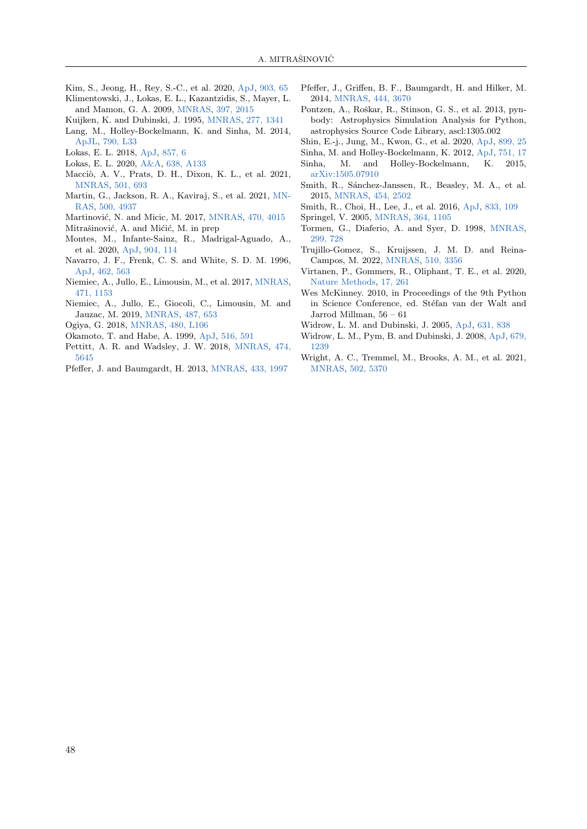- <span id="page-9-13"></span>Kim, S., Jeong, H., Rey, S.-C., et al. 2020, [ApJ,](https://ui.adsabs.harvard.edu/abs/2020ApJ...903...65K) [903, 65](https://ui.adsabs.harvard.edu/abs/2020ApJ...903...65K)
- <span id="page-9-28"></span>Klimentowski, J., Lokas, E. L., Kazantzidis, S., Mayer, L.
- <span id="page-9-22"></span>and Mamon, G. A. 2009, [MNRAS,](https://ui.adsabs.harvard.edu/abs/2009MNRAS.397.2015K) [397, 2015](https://ui.adsabs.harvard.edu/abs/2009MNRAS.397.2015K) Kuijken, K. and Dubinski, J. 1995, [MNRAS,](https://ui.adsabs.harvard.edu/abs/1995MNRAS.277.1341K) [277, 1341](https://ui.adsabs.harvard.edu/abs/1995MNRAS.277.1341K)
- <span id="page-9-2"></span>Lang, M., Holley-Bockelmann, K. and Sinha, M. 2014,
- <span id="page-9-3"></span>[ApJL,](https://ui.adsabs.harvard.edu/abs/2014ApJ...790L..33L) [790, L33](https://ui.adsabs.harvard.edu/abs/2014ApJ...790L..33L) Lokas, E. L. 2018, [ApJ,](https://ui.adsabs.harvard.edu/abs/2018ApJ...857....6L) [857, 6](https://ui.adsabs.harvard.edu/abs/2018ApJ...857....6L)
- <span id="page-9-9"></span>Lokas, E. L. 2020, [A&A,](https://ui.adsabs.harvard.edu/abs/2020A&A...638A.133L) [638, A133](https://ui.adsabs.harvard.edu/abs/2020A&A...638A.133L)
- 
- <span id="page-9-20"></span>Macciò, A. V., Prats, D. H., Dixon, K. L., et al. 2021, [MNRAS,](https://ui.adsabs.harvard.edu/abs/2021MNRAS.501..693M) [501, 693](https://ui.adsabs.harvard.edu/abs/2021MNRAS.501..693M)
- <span id="page-9-5"></span>Martin, G., Jackson, R. A., Kaviraj, S., et al. 2021, [MN-](https://ui.adsabs.harvard.edu/abs/2021MNRAS.500.4937M)[RAS,](https://ui.adsabs.harvard.edu/abs/2021MNRAS.500.4937M) [500, 4937](https://ui.adsabs.harvard.edu/abs/2021MNRAS.500.4937M)
- <span id="page-9-12"></span>Martinović, N. and Micic, M. 2017, [MNRAS,](https://ui.adsabs.harvard.edu/abs/2017MNRAS.470.4015M) [470, 4015](https://ui.adsabs.harvard.edu/abs/2017MNRAS.470.4015M)
- <span id="page-9-26"></span>Mitrašinović, A. and Mićić, M. in prep
- <span id="page-9-18"></span>Montes, M., Infante-Sainz, R., Madrigal-Aguado, A., et al. 2020, [ApJ,](https://ui.adsabs.harvard.edu/abs/2020ApJ...904..114M) [904, 114](https://ui.adsabs.harvard.edu/abs/2020ApJ...904..114M)
- <span id="page-9-25"></span>Navarro, J. F., Frenk, C. S. and White, S. D. M. 1996, [ApJ,](https://ui.adsabs.harvard.edu/abs/1996ApJ...462..563N) [462, 563](https://ui.adsabs.harvard.edu/abs/1996ApJ...462..563N)
- <span id="page-9-15"></span>Niemiec, A., Jullo, E., Limousin, M., et al. 2017, [MNRAS,](https://ui.adsabs.harvard.edu/abs/2017MNRAS.471.1153N) [471, 1153](https://ui.adsabs.harvard.edu/abs/2017MNRAS.471.1153N)
- <span id="page-9-16"></span>Niemiec, A., Jullo, E., Giocoli, C., Limousin, M. and Jauzac, M. 2019, [MNRAS,](https://ui.adsabs.harvard.edu/abs/2019MNRAS.487..653N) [487, 653](https://ui.adsabs.harvard.edu/abs/2019MNRAS.487..653N)
- <span id="page-9-17"></span>Ogiya, G. 2018, [MNRAS,](https://ui.adsabs.harvard.edu/abs/2018MNRAS.480L.106O) [480, L106](https://ui.adsabs.harvard.edu/abs/2018MNRAS.480L.106O)
- <span id="page-9-29"></span>Okamoto, T. and Habe, A. 1999, [ApJ,](https://ui.adsabs.harvard.edu/abs/1999ApJ...516..591O) [516, 591](https://ui.adsabs.harvard.edu/abs/1999ApJ...516..591O)
- <span id="page-9-4"></span>Pettitt, A. R. and Wadsley, J. W. 2018, [MNRAS,](https://ui.adsabs.harvard.edu/abs/2018MNRAS.474.5645P) [474,](https://ui.adsabs.harvard.edu/abs/2018MNRAS.474.5645P) [5645](https://ui.adsabs.harvard.edu/abs/2018MNRAS.474.5645P)
- <span id="page-9-10"></span>Pfeffer, J. and Baumgardt, H. 2013, [MNRAS,](https://ui.adsabs.harvard.edu/abs/2013MNRAS.433.1997P) [433, 1997](https://ui.adsabs.harvard.edu/abs/2013MNRAS.433.1997P)
- <span id="page-9-11"></span>Pfeffer, J., Griffen, B. F., Baumgardt, H. and Hilker, M. 2014, [MNRAS,](https://ui.adsabs.harvard.edu/abs/2014MNRAS.444.3670P) [444, 3670](https://ui.adsabs.harvard.edu/abs/2014MNRAS.444.3670P)
- <span id="page-9-32"></span>Pontzen, A., Roškar, R., Stinson, G. S., et al. 2013, pynbody: Astrophysics Simulation Analysis for Python, astrophysics Source Code Library, ascl:1305.002
- <span id="page-9-19"></span>Shin, E.-j., Jung, M., Kwon, G., et al. 2020, [ApJ,](https://ui.adsabs.harvard.edu/abs/2020ApJ...899...25S) [899, 25](https://ui.adsabs.harvard.edu/abs/2020ApJ...899...25S)
- <span id="page-9-1"></span><span id="page-9-0"></span>Sinha, M. and Holley-Bockelmann, K. 2012, [ApJ,](https://ui.adsabs.harvard.edu/abs/2012ApJ...751...17S) [751, 17](https://ui.adsabs.harvard.edu/abs/2012ApJ...751...17S)
- Sinha, M. and Holley-Bockelmann, K. 2015, [arXiv:1505.07910](https://arxiv.org/abs/1505.07910)
- <span id="page-9-7"></span>Smith, R., Sánchez-Janssen, R., Beasley, M. A., et al. 2015, [MNRAS,](https://ui.adsabs.harvard.edu/abs/2015MNRAS.454.2502S) [454, 2502](https://ui.adsabs.harvard.edu/abs/2015MNRAS.454.2502S)
- <span id="page-9-8"></span>Smith, R., Choi, H., Lee, J., et al. 2016, [ApJ,](https://ui.adsabs.harvard.edu/abs/2016ApJ...833..109S) [833, 109](https://ui.adsabs.harvard.edu/abs/2016ApJ...833..109S)
- <span id="page-9-27"></span><span id="page-9-6"></span>Springel, V. 2005, [MNRAS,](https://ui.adsabs.harvard.edu/abs/2005MNRAS.364.1105S) [364, 1105](https://ui.adsabs.harvard.edu/abs/2005MNRAS.364.1105S)
- Tormen, G., Diaferio, A. and Syer, D. 1998, [MNRAS,](https://ui.adsabs.harvard.edu/abs/1998MNRAS.299..728T) [299, 728](https://ui.adsabs.harvard.edu/abs/1998MNRAS.299..728T)
- <span id="page-9-21"></span>Trujillo-Gomez, S., Kruijssen, J. M. D. and Reina-Campos, M. 2022, [MNRAS,](https://ui.adsabs.harvard.edu/abs/2022MNRAS.510.3356T) [510, 3356](https://ui.adsabs.harvard.edu/abs/2022MNRAS.510.3356T)
- <span id="page-9-30"></span>Virtanen, P., Gommers, R., Oliphant, T. E., et al. 2020, [Nature Methods,](https://rdcu.be/b08Wh) [17, 261](https://rdcu.be/b08Wh)
- <span id="page-9-31"></span>Wes McKinney. 2010, in Proceedings of the 9th Python in Science Conference, ed. Stéfan van der Walt and Jarrod Millman, 56 – 61
- <span id="page-9-23"></span>Widrow, L. M. and Dubinski, J. 2005, [ApJ,](https://ui.adsabs.harvard.edu/abs/2005ApJ...631..838W) [631, 838](https://ui.adsabs.harvard.edu/abs/2005ApJ...631..838W)
- <span id="page-9-24"></span>Widrow, L. M., Pym, B. and Dubinski, J. 2008, [ApJ,](https://ui.adsabs.harvard.edu/abs/2008ApJ...679.1239W) [679,](https://ui.adsabs.harvard.edu/abs/2008ApJ...679.1239W) [1239](https://ui.adsabs.harvard.edu/abs/2008ApJ...679.1239W)
- <span id="page-9-14"></span>Wright, A. C., Tremmel, M., Brooks, A. M., et al. 2021, [MNRAS,](https://ui.adsabs.harvard.edu/abs/2021MNRAS.502.5370W) [502, 5370](https://ui.adsabs.harvard.edu/abs/2021MNRAS.502.5370W)